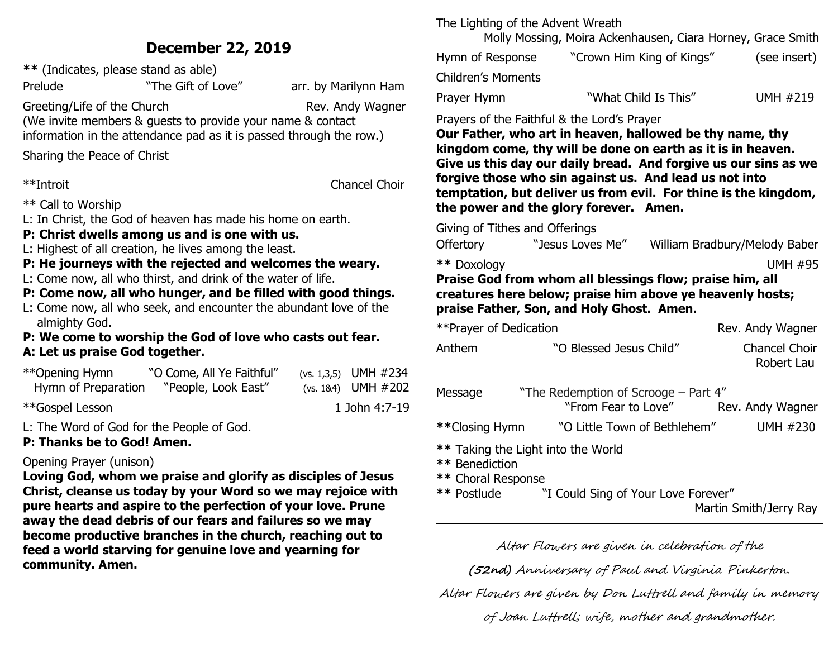## **December 22, 2019**

**\*\*** (Indicates, please stand as able)

Prelude **The Gift of Love** "The Gift of Love" arr. by Marilynn Ham

Greeting/Life of the Church Rev. Andy Wagner

(We invite members & guests to provide your name & contact

information in the attendance pad as it is passed through the row.)

Sharing the Peace of Christ

\*\*Introit Chancel Choir

\*\* Call to Worship

L: In Christ, the God of heaven has made his home on earth.

#### **P: Christ dwells among us and is one with us.**

L: Highest of all creation, he lives among the least.

#### **P: He journeys with the rejected and welcomes the weary.**

L: Come now, all who thirst, and drink of the water of life.

#### **P: Come now, all who hunger, and be filled with good things.**

L: Come now, all who seek, and encounter the abundant love of the almighty God.

#### **P: We come to worship the God of love who casts out fear. A: Let us praise God together.**  ł

| **Opening Hymn      | "O Come, All Ye Faithful" | $(vs. 1,3,5)$ UMH #234  |
|---------------------|---------------------------|-------------------------|
| Hymn of Preparation | "People, Look East"       | $(vs. 184)$ UMH $\#202$ |
|                     |                           | 1.7.1.1.1.7.10          |

\*\*Gospel Lesson 1 John 4:7-19

L: The Word of God for the People of God.

#### **P: Thanks be to God! Amen.**

#### Opening Prayer (unison)

**Loving God, whom we praise and glorify as disciples of Jesus Christ, cleanse us today by your Word so we may rejoice with pure hearts and aspire to the perfection of your love. Prune away the dead debris of our fears and failures so we may become productive branches in the church, reaching out to feed a world starving for genuine love and yearning for community. Amen.**

The Lighting of the Advent Wreath

Molly Mossing, Moira Ackenhausen, Ciara Horney, Grace Smith

| Hymn of Response   | "Crown Him King of Kings" | (see insert)    |
|--------------------|---------------------------|-----------------|
| Children's Moments |                           |                 |
| Prayer Hymn        | "What Child Is This"      | <b>UMH #219</b> |

#### Prayers of the Faithful & the Lord's Prayer

**Our Father, who art in heaven, hallowed be thy name, thy kingdom come, thy will be done on earth as it is in heaven. Give us this day our daily bread. And forgive us our sins as we forgive those who sin against us. And lead us not into temptation, but deliver us from evil. For thine is the kingdom, the power and the glory forever. Amen.**

Giving of Tithes and Offerings

Offertory "Jesus Loves Me" William Bradbury/Melody Baber

**\*\*** Doxology UMH #95

#### **Praise God from whom all blessings flow; praise him, all creatures here below; praise him above ye heavenly hosts; praise Father, Son, and Holy Ghost. Amen.**

| ** Prayer of Dedication              |                                                             | Rev. Andy Wagner                   |
|--------------------------------------|-------------------------------------------------------------|------------------------------------|
| Anthem                               | "O Blessed Jesus Child"                                     | <b>Chancel Choir</b><br>Robert Lau |
| Message                              | "The Redemption of Scrooge – Part 4"<br>"From Fear to Love" | Rev. Andy Wagner                   |
| **Closing Hymn                       | "O Little Town of Bethlehem"                                | UMH #230                           |
| ** Benediction<br>** Choral Response | ** Taking the Light into the World                          |                                    |
| ** Postlude                          | "I Could Sing of Your Love Forever"                         |                                    |

Martin Smith/Jerry Ray

Altar Flowers are given in celebration of the

**(52nd)** Anniversary of Paul and Virginia Pinkerton.

Altar Flowers are given by Don Luttrell and family in memory

of Joan Luttrell; wife, mother and grandmother.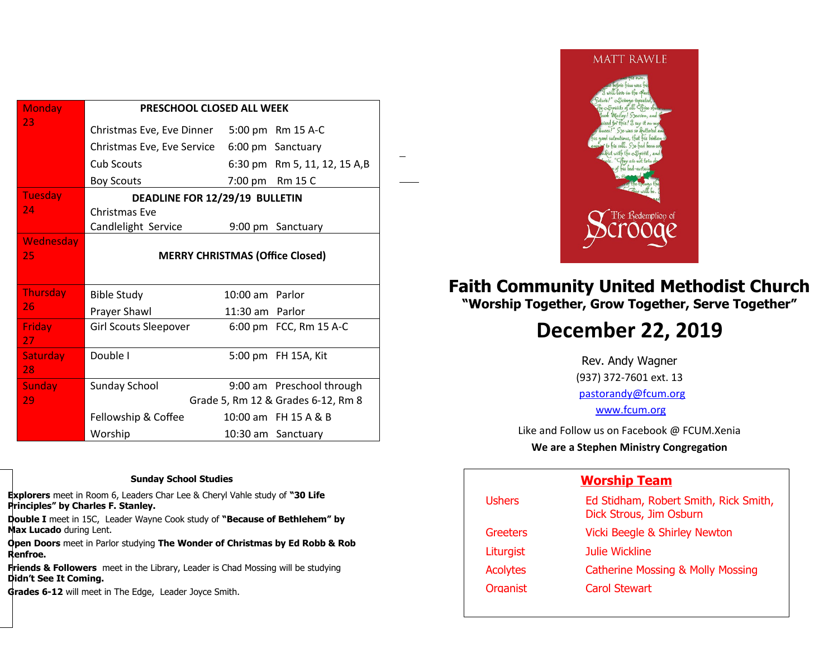| <b>Monday</b>         | PRESCHOOL CLOSED ALL WEEK              |                 |                              |
|-----------------------|----------------------------------------|-----------------|------------------------------|
| 23                    | Christmas Eve, Eve Dinner              |                 | 5:00 pm Rm 15 A-C            |
|                       | Christmas Eve, Eve Service             |                 | 6:00 pm Sanctuary            |
|                       | Cub Scouts                             |                 | 6:30 pm Rm 5, 11, 12, 15 A,B |
|                       | <b>Boy Scouts</b>                      |                 | 7:00 pm Rm 15 C              |
| <b>Tuesday</b>        | DEADLINE FOR 12/29/19 BULLETIN         |                 |                              |
| 24                    | Christmas Eve                          |                 |                              |
|                       | Candlelight Service                    |                 | 9:00 pm Sanctuary            |
| <b>Wednesday</b>      |                                        |                 |                              |
| 25                    | <b>MERRY CHRISTMAS (Office Closed)</b> |                 |                              |
|                       |                                        |                 |                              |
| Thursday              | <b>Bible Study</b>                     | 10:00 am Parlor |                              |
| 26                    | Prayer Shawl                           | 11:30 am Parlor |                              |
| <b>Friday</b><br>27   | Girl Scouts Sleepover                  |                 | 6:00 pm FCC, Rm 15 A-C       |
| <b>Saturday</b><br>28 | Double I                               |                 | 5:00 pm FH 15A, Kit          |
| <b>Sunday</b>         | Sunday School                          |                 | 9:00 am Preschool through    |
| 29                    | Grade 5, Rm 12 & Grades 6-12, Rm 8     |                 |                              |
|                       | Fellowship & Coffee                    |                 | 10:00 am FH 15 A & B         |
|                       | Worship                                |                 | 10:30 am Sanctuary           |

<u>.</u>

#### **Sunday School Studies**

**Explorers** meet in Room 6, Leaders Char Lee & Cheryl Vahle study of **"30 Life Principles" by Charles F. Stanley.** 

**Double I** meet in 15C, Leader Wayne Cook study of **"Because of Bethlehem" by Max Lucado** during Lent.

**Open Doors** meet in Parlor studying **The Wonder of Christmas by Ed Robb & Rob Renfroe.**

**Friends & Followers** meet in the Library, Leader is Chad Mossing will be studying **Didn't See It Coming.**

**Grades 6-12** will meet in The Edge, Leader Joyce Smith.



## **Faith Community United Methodist Church "Worship Together, Grow Together, Serve Together"**

# **December 22, 2019**

Rev. Andy Wagner (937) 372-7601 ext. 13 [pastorandy@fcum.org](mailto:pastorandy@fcum.org) [www.fcum.org](http://www.fcum.org/)

Like and Follow us on Facebook @ FCUM.Xenia **We are a Stephen Ministry Congregation**

#### **Worship Team**

| Ed Stidham, Robert Smith, Rick Smith,<br>Dick Strous, Jim Osburn |
|------------------------------------------------------------------|
| <b>Vicki Beegle &amp; Shirley Newton</b>                         |
| Julie Wickline                                                   |
| <b>Catherine Mossing &amp; Molly Mossing</b>                     |
| <b>Carol Stewart</b>                                             |
|                                                                  |